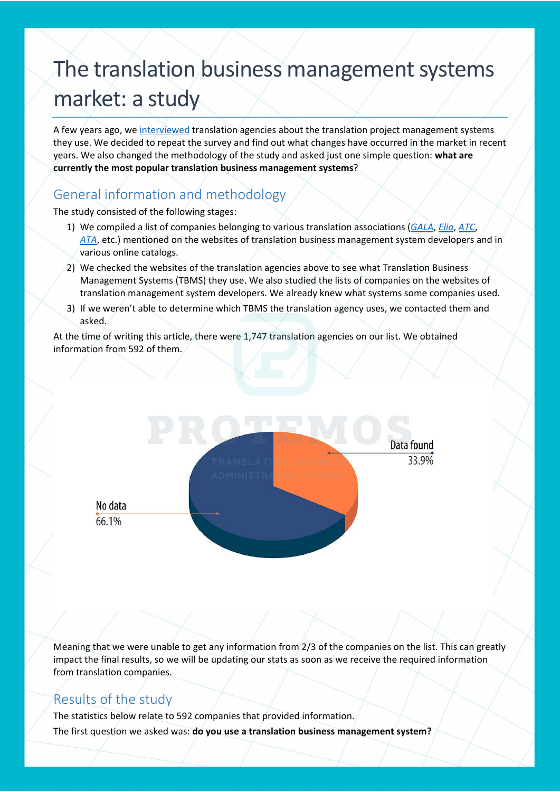# The translation business management systems market: a study

A few years ago, we [interviewed](https://protemos.com/en/blog/research-business-management-systems-for-translation-agencies.html) translation agencies about the translation project management systems they use. We decided to repeat the survey and find out what changes have occurred in the market in recent years. We also changed the methodology of the study and asked just one simple question: **what are currently the most popular translation business management systems**?

### General information and methodology

The study consisted of the following stages:

- 1) We compiled a list of companies belonging to various translation associations (*[GALA](https://www.gala-global.org/)*, *[Elia](https://elia-association.org/)*, *[ATC](https://atc.org.uk/)*, *[ATA](https://www.atanet.org/)*, etc.) mentioned on the websites of translation business management system developers and in various online catalogs.
- 2) We checked the websites of the translation agencies above to see what Translation Business Management Systems (TBMS) they use. We also studied the lists of companies on the websites of translation management system developers. We already knew what systems some companies used.
- 3) If we weren't able to determine which TBMS the translation agency uses, we contacted them and asked.

At the time of writing this article, there were 1,747 translation agencies on our list. We obtained information from 592 of them.



Meaning that we were unable to get any information from 2/3 of the companies on the list. This can greatly impact the final results, so we will be updating our stats as soon as we receive the required information from translation companies.

#### Results of the study

The statistics below relate to 592 companies that provided information.

The first question we asked was: **do you use a translation business management system?**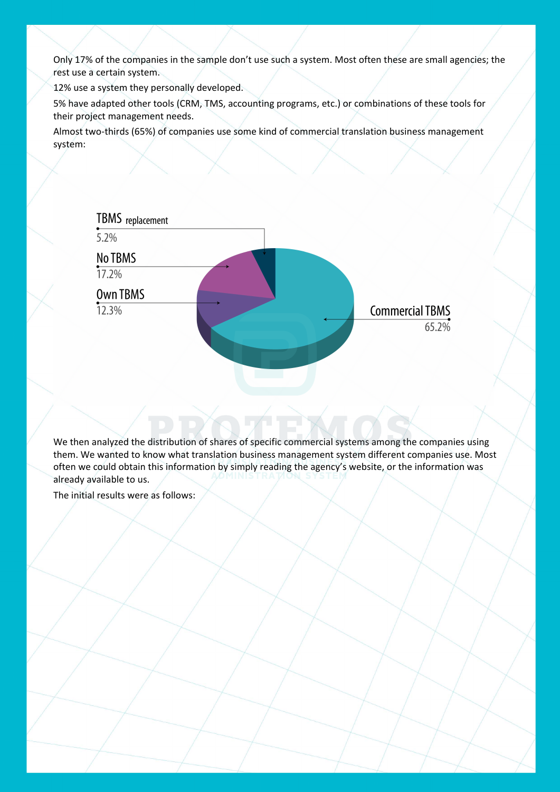Only 17% of the companies in the sample don't use such a system. Most often these are small agencies; the rest use a certain system.

12% use a system they personally developed.

5% have adapted other tools (CRM, TMS, accounting programs, etc.) or combinations of these tools for their project management needs.

Almost two-thirds (65%) of companies use some kind of commercial translation business management system:



We then analyzed the distribution of shares of specific commercial systems among the companies using them. We wanted to know what translation business management system different companies use. Most often we could obtain this information by simply reading the agency's website, or the information was already available to us.

The initial results were as follows: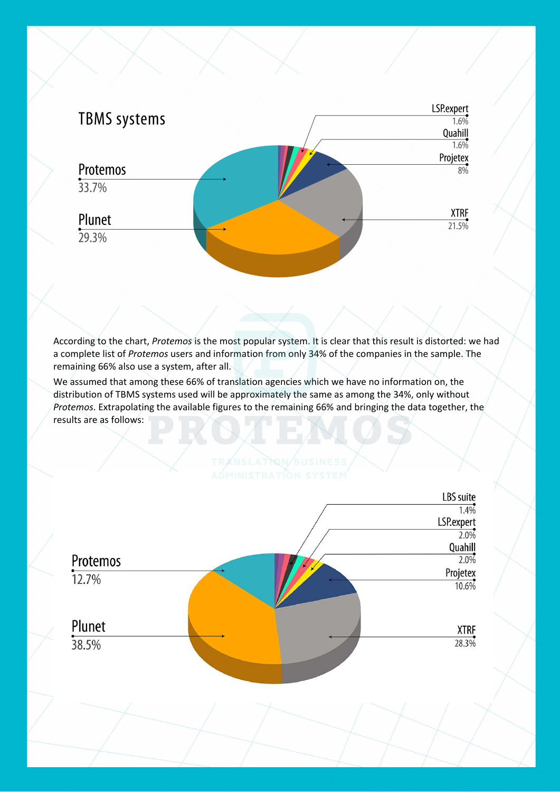

According to the chart, *Protemos* is the most popular system. It is clear that this result is distorted: we had a complete list of *Protemos* users and information from only 34% of the companies in the sample. The remaining 66% also use a system, after all.

We assumed that among these 66% of translation agencies which we have no information on, the distribution of TBMS systems used will be approximately the same as among the 34%, only without *Protemos*. Extrapolating the available figures to the remaining 66% and bringing the data together, the results are as follows:

## TRANSLATION BUSINE